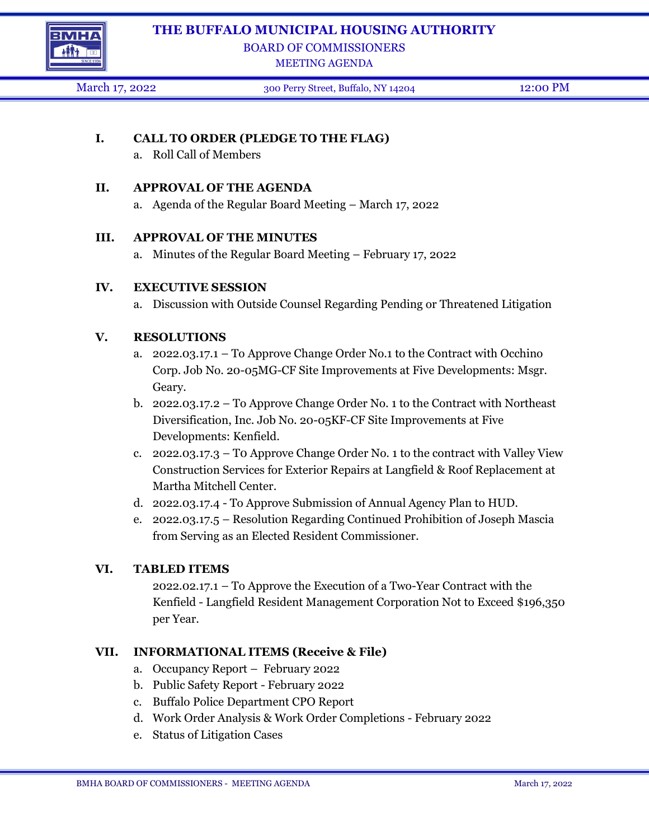

### **THE BUFFALO MUNICIPAL HOUSING AUTHORITY**

BOARD OF COMMISSIONERS

MEETING AGENDA

March 17, 2022 300 Perry Street, Buffalo, NY 14204 12:00 PM

## **I. CALL TO ORDER (PLEDGE TO THE FLAG)**

a. Roll Call of Members

#### **II. APPROVAL OF THE AGENDA**

a. Agenda of the Regular Board Meeting – March 17, 2022

#### **III. APPROVAL OF THE MINUTES**

a. Minutes of the Regular Board Meeting – February 17, 2022

### **IV. EXECUTIVE SESSION**

a. Discussion with Outside Counsel Regarding Pending or Threatened Litigation

#### **V. RESOLUTIONS**

- a. 2022.03.17.1 To Approve Change Order No.1 to the Contract with Occhino Corp. Job No. 20-05MG-CF Site Improvements at Five Developments: Msgr. Geary.
- b. 2022.03.17.2 To Approve Change Order No. 1 to the Contract with Northeast Diversification, Inc. Job No. 20-05KF-CF Site Improvements at Five Developments: Kenfield.
- c.  $2022.03.17.3$  To Approve Change Order No. 1 to the contract with Valley View Construction Services for Exterior Repairs at Langfield & Roof Replacement at Martha Mitchell Center.
- d. 2022.03.17.4 To Approve Submission of Annual Agency Plan to HUD.
- e. 2022.03.17.5 Resolution Regarding Continued Prohibition of Joseph Mascia from Serving as an Elected Resident Commissioner.

### **VI. TABLED ITEMS**

2022.02.17.1 – To Approve the Execution of a Two-Year Contract with the Kenfield - Langfield Resident Management Corporation Not to Exceed \$196,350 per Year.

### **VII. INFORMATIONAL ITEMS (Receive & File)**

- a. Occupancy Report February 2022
- b. Public Safety Report February 2022
- c. Buffalo Police Department CPO Report
- d. Work Order Analysis & Work Order Completions February 2022
- e. Status of Litigation Cases